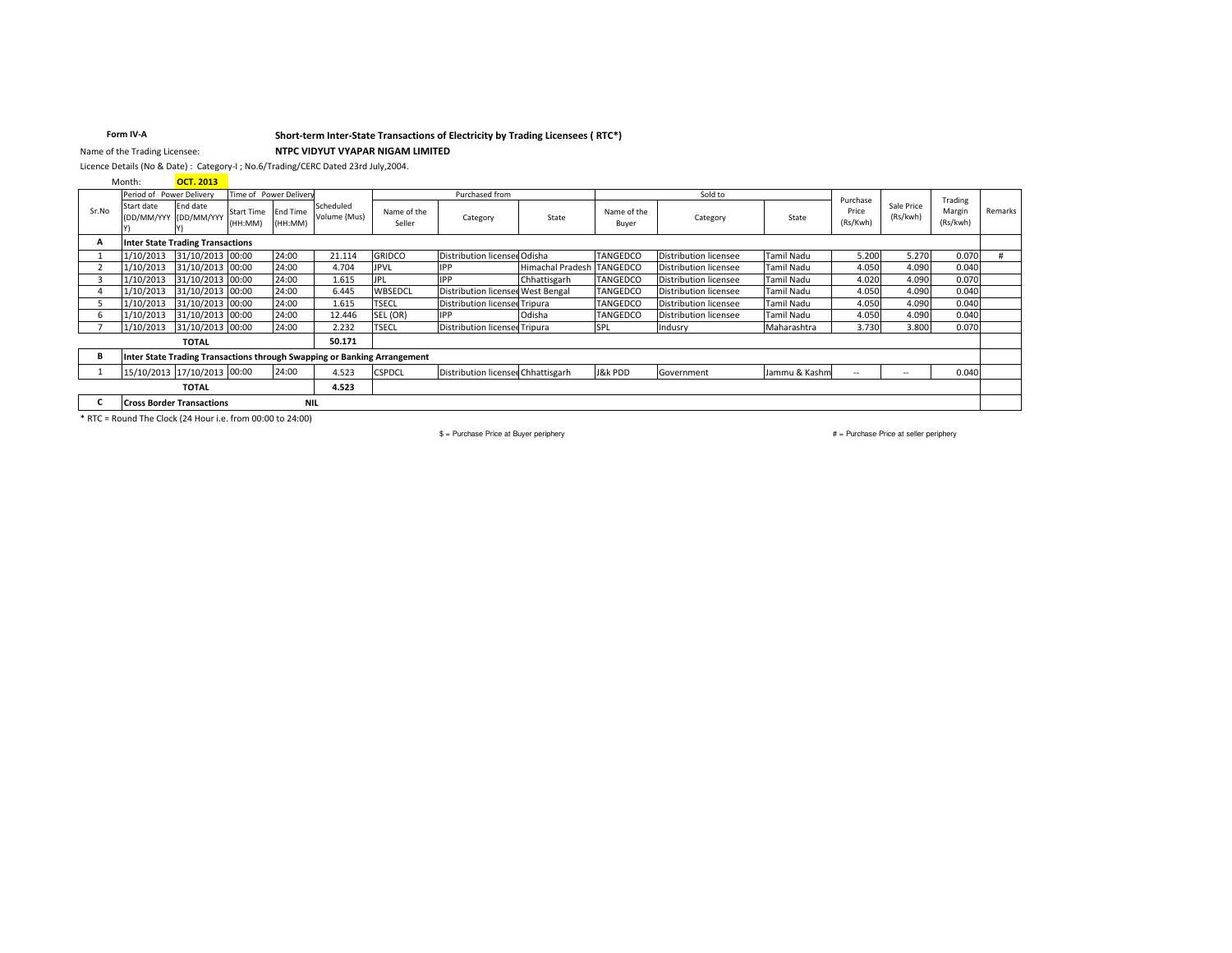### Short-term Inter-State Transactions of Electricity by Trading Licensees (RTC\*)

Form IV-A Name of the Trading Licensee:

# NTPC VIDYUT VYAPAR NIGAM LIMITED

Licence Details (No & Date) : Category-I ; No.6/Trading/CERC Dated 23rd July, 2004.

Month: OCT. 2013

| Period of Power Delivery |                                                                          | Time of Power Delivery                  |                       |                            | Purchased from            |                       |                                      | Sold to                 |                      |                              | Purchase          |                   | Trading                  |                    |         |
|--------------------------|--------------------------------------------------------------------------|-----------------------------------------|-----------------------|----------------------------|---------------------------|-----------------------|--------------------------------------|-------------------------|----------------------|------------------------------|-------------------|-------------------|--------------------------|--------------------|---------|
| Sr.No                    | Start date                                                               | End date<br>(DD/MM/YYY (DD/MM/YYY       | Start Time<br>(HH:MM) | <b>End Time</b><br>(HH:MM) | Scheduled<br>Volume (Mus) | Name of the<br>Seller | Category                             | State                   | Name of the<br>Buyer | Category                     | State             | Price<br>(Rs/Kwh) | Sale Price<br>(Rs/kwh)   | Margin<br>(Rs/kwh) | Remarks |
| А                        |                                                                          | <b>Inter State Trading Transactions</b> |                       |                            |                           |                       |                                      |                         |                      |                              |                   |                   |                          |                    |         |
|                          | 1/10/2013                                                                | 31/10/2013 00:00                        |                       | 24:00                      | 21.114                    | <b>GRIDCO</b>         | Distribution licensee Odisha         |                         | <b>TANGEDCO</b>      | <b>Distribution licensee</b> | <b>Tamil Nadu</b> | 5.200             | 5.270                    | 0.070              |         |
|                          | 1/10/2013                                                                | 31/10/2013 00:00                        |                       | 24:00                      | 4.704                     | <b>JPVL</b>           | <b>IPP</b>                           | <b>Himachal Pradesh</b> | <b>TANGEDCO</b>      | Distribution licensee        | Tamil Nadu        | 4.050             | 4.090                    | 0.040              |         |
|                          | 1/10/2013                                                                | 31/10/2013 00:00                        |                       | 24:00                      | 1.615                     |                       | <b>IPP</b>                           | Chhattisgarh            | <b>TANGEDCO</b>      | Distribution licensee        | Tamil Nadu        | 4.020             | 4.090                    | 0.070              |         |
|                          | 1/10/2013                                                                | 31/10/2013 00:00                        |                       | 24:00                      | 6.445                     | WBSEDCL               | Distribution licensee West Bengal    |                         | <b>TANGEDCO</b>      | Distribution licensee        | Tamil Nadu        | 4.050             | 4.090                    | 0.040              |         |
|                          | 1/10/2013                                                                | 31/10/2013 00:00                        |                       | 24:00                      | 1.615                     | <b>TSECL</b>          | Distribution licensee Tripura        |                         | <b>TANGEDCO</b>      | Distribution licensee        | Tamil Nadu        | 4.050             | 4.090                    | 0.040              |         |
|                          | 1/10/2013                                                                | 31/10/2013 00:00                        |                       | 24:00                      | 12.446                    | SEL (OR)              | <b>IPP</b>                           | Odisha                  | <b>TANGEDCO</b>      | Distribution licensee        | Tamil Nadu        | 4.050             | 4.090                    | 0.040              |         |
|                          | 1/10/2013                                                                | 31/10/2013 00:00                        |                       | 24:00                      | 2.232                     | <b>TSECL</b>          | <b>Distribution licensee Tripura</b> |                         | SPL                  | Indusry                      | Maharashtra       | 3.730             | 3.800                    | 0.070              |         |
|                          |                                                                          | <b>TOTAL</b>                            |                       |                            | 50.171                    |                       |                                      |                         |                      |                              |                   |                   |                          |                    |         |
| В                        | Inter State Trading Transactions through Swapping or Banking Arrangement |                                         |                       |                            |                           |                       |                                      |                         |                      |                              |                   |                   |                          |                    |         |
|                          |                                                                          | 15/10/2013 17/10/2013 00:00             |                       | 24:00                      | 4.523                     | <b>CSPDCL</b>         | Distribution licensed Chhattisgarh   |                         | J&k PDD              | Government                   | Jammu & Kashm     | $-$               | $\overline{\phantom{a}}$ | 0.040              |         |
|                          |                                                                          | <b>TOTAL</b>                            |                       |                            | 4.523                     |                       |                                      |                         |                      |                              |                   |                   |                          |                    |         |
|                          |                                                                          | <b>Cross Border Transactions</b>        |                       | <b>NIL</b>                 |                           |                       |                                      |                         |                      |                              |                   |                   |                          |                    |         |

\* RTC = Round The Clock (24 Hour i.e. from 00:00 to 24:00)

 $$ =$  Purchase Price at Buyer periphery

# = Purchase Price at seller periphery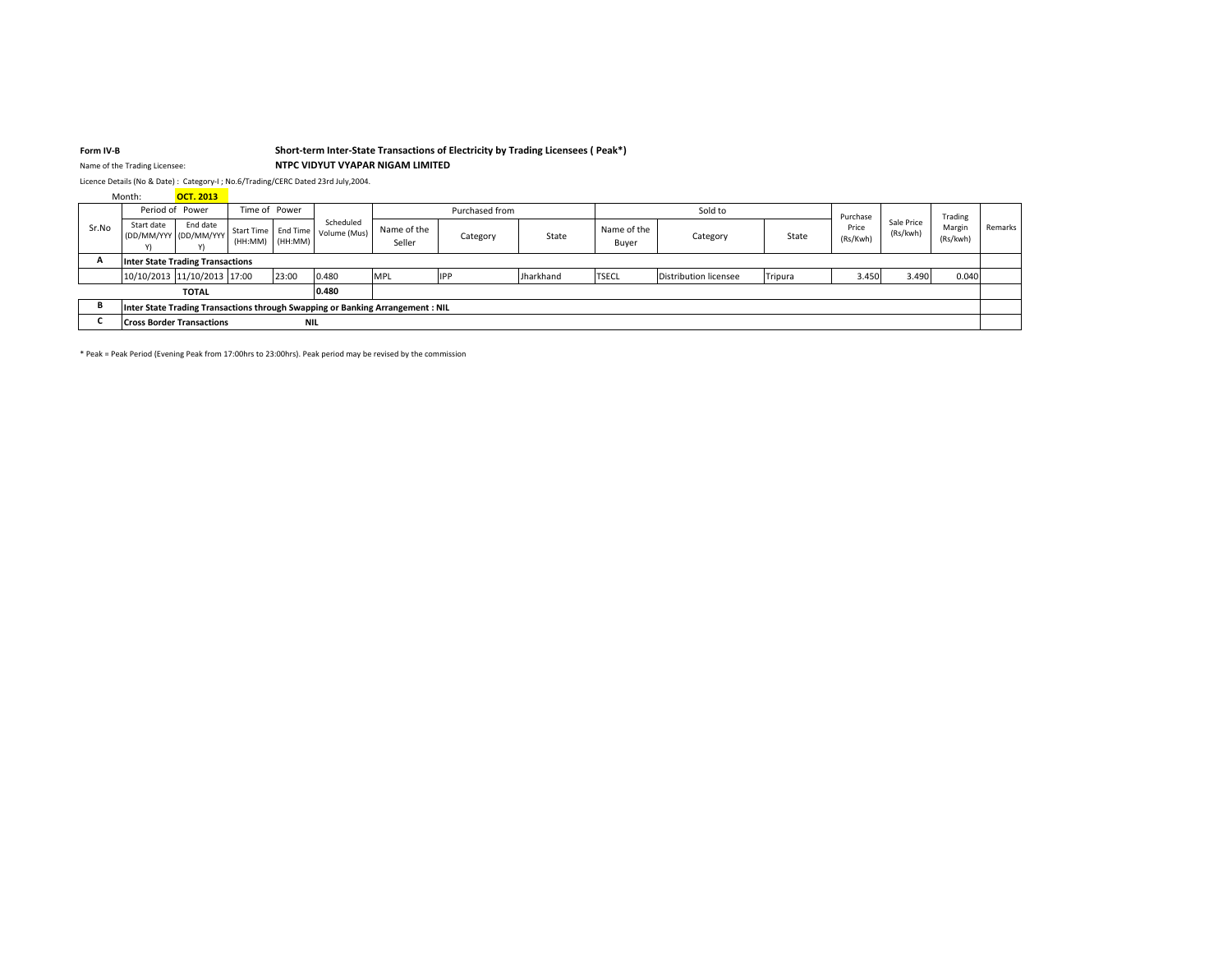#### Form IV-B

### Short-term Inter-State Transactions of Electricity by Trading Licensees (Peak\*)

NTPC VIDYUT VYAPAR NIGAM LIMITED

Name of the Trading Licensee:

Licence Details (No & Date) : Category-I ; No.6/Trading/CERC Dated 23rd July,2004.

**OCT. 2013** Month:

|                                       | Period of Power                                                                |                                   | Time of Power |            |                                                   | Purchased from        |            |           | Sold to              |                       |         | Purchase          |                        | Trading            |         |
|---------------------------------------|--------------------------------------------------------------------------------|-----------------------------------|---------------|------------|---------------------------------------------------|-----------------------|------------|-----------|----------------------|-----------------------|---------|-------------------|------------------------|--------------------|---------|
| Sr.No                                 | Start date                                                                     | End date<br>(DD/MM/YYY (DD/MM/YYY | (HH:MM)       | (HH:MM)    | Scheduled<br>Start Time   End Time   Volume (Mus) | Name of the<br>Seller | Category   | State     | Name of the<br>Buyer | Category              | State   | Price<br>(Rs/Kwh) | Sale Price<br>(Rs/kwh) | Margin<br>(Rs/kwh) | Remarks |
| Inter State Trading Transactions<br>A |                                                                                |                                   |               |            |                                                   |                       |            |           |                      |                       |         |                   |                        |                    |         |
|                                       |                                                                                | 10/10/2013 11/10/2013 17:00       |               | 23:00      | 0.480                                             | <b>MPL</b>            | <b>IPP</b> | Jharkhand | <b>TSECL</b>         | Distribution licensee | Tripura | 3.450             | 3.490                  | 0.040              |         |
|                                       | 0.480<br><b>TOTAL</b>                                                          |                                   |               |            |                                                   |                       |            |           |                      |                       |         |                   |                        |                    |         |
|                                       | Inter State Trading Transactions through Swapping or Banking Arrangement : NIL |                                   |               |            |                                                   |                       |            |           |                      |                       |         |                   |                        |                    |         |
|                                       |                                                                                | <b>Cross Border Transactions</b>  |               | <b>NIL</b> |                                                   |                       |            |           |                      |                       |         |                   |                        |                    |         |

\* Peak = Peak Period (Evening Peak from 17:00hrs to 23:00hrs). Peak period may be revised by the commission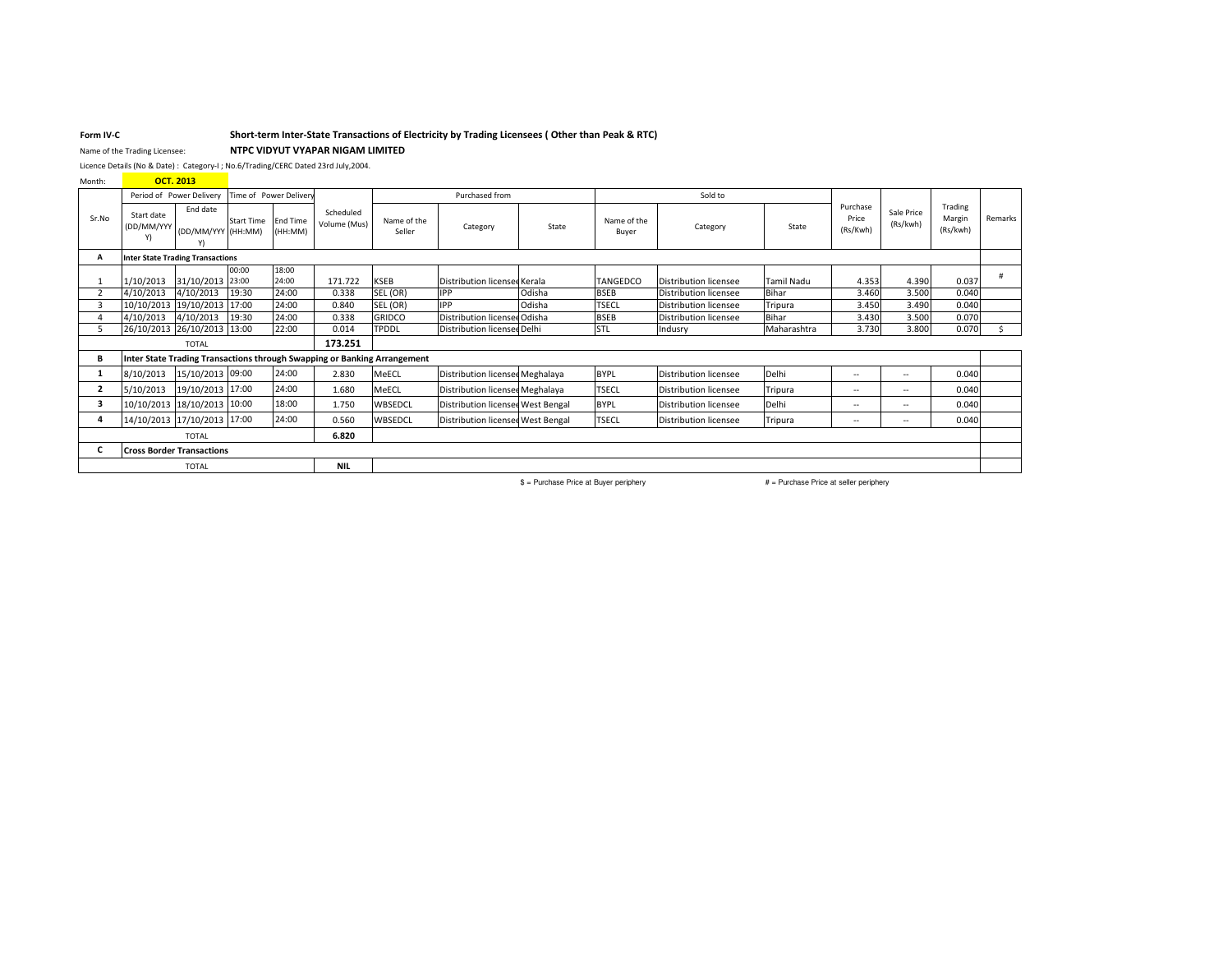### Short-term Inter-State Transactions of Electricity by Trading Licensees (Other than Peak & RTC)

Name of the Trading Licensee: NTPC VIDYUT VYAPAR NIGAM LIMITED

Licence Details (No & Date) : Category-I ; No.6/Trading/CERC Dated 23rd July,2004.

Month: **OCT. 2013** 

Form IV-C

|                                  | Period of Power Delivery<br>Time of Power Delivery |                                         |                   |                            | Purchased from            |                                                                          |                                   |        |                      |                              |                   |                               |                          |                               |         |
|----------------------------------|----------------------------------------------------|-----------------------------------------|-------------------|----------------------------|---------------------------|--------------------------------------------------------------------------|-----------------------------------|--------|----------------------|------------------------------|-------------------|-------------------------------|--------------------------|-------------------------------|---------|
| Sr.No                            | Start date<br>(DD/MM/YYY<br>Y)                     | End date<br>(DD/MM/YYY (HH:MM)          | <b>Start Time</b> | <b>End Time</b><br>(HH:MM) | Scheduled<br>Volume (Mus) | Name of the<br>Seller                                                    | Category                          | State  | Name of the<br>Buyer | Category                     | State             | Purchase<br>Price<br>(Rs/Kwh) | Sale Price<br>(Rs/kwh)   | Trading<br>Margin<br>(Rs/kwh) | Remarks |
|                                  |                                                    | <b>Inter State Trading Transactions</b> |                   |                            |                           |                                                                          |                                   |        |                      |                              |                   |                               |                          |                               |         |
|                                  | 1/10/2013                                          | 31/10/2013 23:00                        | 00:00             | 18:00<br>24:00             | 171.722                   | <b>KSEB</b>                                                              | Distribution licensee Kerala      |        | <b>TANGEDCO</b>      | Distribution licensee        | <b>Tamil Nadu</b> | 4.353                         | 4.390                    | 0.037                         |         |
|                                  | 4/10/2013                                          | 4/10/2013                               | 19:30             | 24:00                      | 0.338                     | SEL (OR)                                                                 | <b>IPP</b>                        | Odisha | <b>BSEB</b>          | <b>Distribution licensee</b> | Bihar             | 3.460                         | 3.500                    | 0.040                         |         |
|                                  |                                                    | 10/10/2013 19/10/2013 17:00             |                   | 24:00                      | 0.840                     | SEL (OR)                                                                 | <b>IPP</b>                        | Odisha | <b>TSECL</b>         | Distribution licensee        | Tripura           | 3.450                         | 3.490                    | 0.040                         |         |
|                                  | 4/10/2013                                          | 4/10/2013                               | 19:30             | 24:00                      | 0.338                     | <b>GRIDCO</b>                                                            | Distribution licensee Odisha      |        | <b>BSEB</b>          | <b>Distribution licensee</b> | Bihar             | 3.430                         | 3.500                    | 0.070                         |         |
|                                  |                                                    | 26/10/2013 26/10/2013 13:00             |                   | 22:00                      | 0.014                     | <b>TPDDL</b>                                                             | Distribution licensee Delhi       |        | <b>STL</b>           | Indusry                      | Maharashtra       | 3.730                         | 3.800                    | 0.070                         |         |
| <b>TOTAL</b>                     |                                                    |                                         | 173.251           |                            |                           |                                                                          |                                   |        |                      |                              |                   |                               |                          |                               |         |
| в                                |                                                    |                                         |                   |                            |                           | Inter State Trading Transactions through Swapping or Banking Arrangement |                                   |        |                      |                              |                   |                               |                          |                               |         |
|                                  | 8/10/2013                                          | 15/10/2013 09:00                        |                   | 24:00                      | 2.830                     | MeECL                                                                    | Distribution licensee Meghalaya   |        | <b>BYPL</b>          | Distribution licensee        | Delhi             | $\sim$                        | $-$                      | 0.040                         |         |
| $\overline{2}$                   | 5/10/2013                                          | 19/10/2013 17:00                        |                   | 24:00                      | 1.680                     | MeECL                                                                    | Distribution licensee Meghalaya   |        | <b>TSECL</b>         | Distribution licensee        | Tripura           | $\sim$                        | $-$                      | 0.040                         |         |
| 3                                |                                                    | 10/10/2013 18/10/2013 10:00             |                   | 18:00                      | 1.750                     | WBSEDCL                                                                  | Distribution licensee West Bengal |        | <b>BYPL</b>          | Distribution licensee        | Delhi             | $\sim$                        | $\overline{\phantom{a}}$ | 0.040                         |         |
|                                  |                                                    | 14/10/2013 17/10/2013 17:00             |                   | 24:00                      | 0.560                     | WBSEDCL                                                                  | Distribution licensee West Bengal |        | <b>TSECL</b>         | Distribution licensee        | Tripura           | $\overline{\phantom{a}}$      | $\overline{\phantom{a}}$ | 0.040                         |         |
| <b>TOTAL</b>                     |                                                    |                                         |                   | 6.820                      |                           |                                                                          |                                   |        |                      |                              |                   |                               |                          |                               |         |
| <b>Cross Border Transactions</b> |                                                    |                                         |                   |                            |                           |                                                                          |                                   |        |                      |                              |                   |                               |                          |                               |         |
| <b>TOTAL</b>                     |                                                    |                                         |                   | <b>NIL</b>                 |                           |                                                                          |                                   |        |                      |                              |                   |                               |                          |                               |         |

\$ = Purchase Price at Buyer periphery

 $#$  = Purchase Price at seller periphery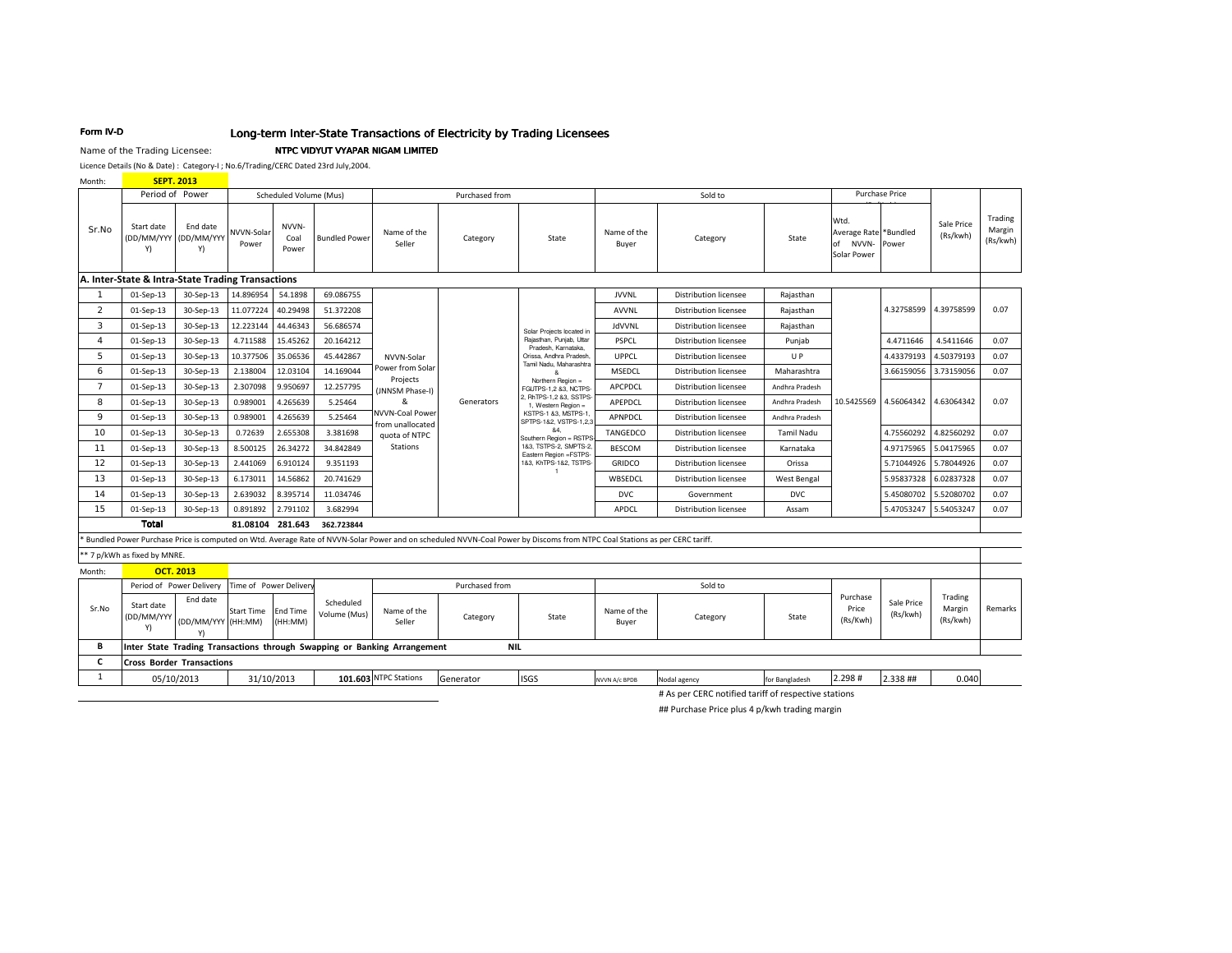## Long-term Inter-State Transactions of Electricity by Trading Licensees

#### Name of the Trading Licensee: NTPC VIDYUT VYAPAR NIGAM LIMITED

Licence Details (No & Date) : Category-I ; No.6/Trading/CERC Dated 23rd July,2004.

Month: **SEPT. 2013** 

Form IV-D

| <b>IVIOHUL</b> |                                                   | 3EF1.ZU13                        |                        |                            |                           |                                                                          |                                                                                                                                                                           |                                                                                                                        |                              |                                                      |                    |                                                             |                        |                               |                               |
|----------------|---------------------------------------------------|----------------------------------|------------------------|----------------------------|---------------------------|--------------------------------------------------------------------------|---------------------------------------------------------------------------------------------------------------------------------------------------------------------------|------------------------------------------------------------------------------------------------------------------------|------------------------------|------------------------------------------------------|--------------------|-------------------------------------------------------------|------------------------|-------------------------------|-------------------------------|
|                | Period of Power                                   |                                  |                        | Scheduled Volume (Mus)     | Purchased from            |                                                                          |                                                                                                                                                                           | Sold to                                                                                                                |                              |                                                      |                    | Purchase Price                                              |                        |                               |                               |
| Sr.No          | Start date<br>(DD/MM/YYY<br>Y)                    | End date<br>(DD/MM/YYY<br>Y)     | NVVN-Solar<br>Power    | NVVN-<br>Coal<br>Power     | <b>Bundled Power</b>      | Name of the<br>Seller                                                    | Category                                                                                                                                                                  | State                                                                                                                  | Name of the<br>Buyer         | Category                                             | State              | Wtd.<br>Average Rate *Bundled<br>NVVN-<br>of<br>Solar Power | Power                  | Sale Price<br>(Rs/kwh)        | Trading<br>Margin<br>(Rs/kwh) |
|                | A. Inter-State & Intra-State Trading Transactions |                                  |                        |                            |                           |                                                                          |                                                                                                                                                                           |                                                                                                                        |                              |                                                      |                    |                                                             |                        |                               |                               |
| 1              | 01-Sep-13                                         | 30-Sep-13                        | 14.896954              | 54.1898                    | 69.086755                 |                                                                          |                                                                                                                                                                           |                                                                                                                        | <b>JVVNL</b>                 | <b>Distribution licensee</b>                         | Rajasthan          |                                                             |                        |                               |                               |
| $\overline{2}$ | 01-Sep-13                                         | 30-Sep-13                        | 11.077224              | 40.29498                   | 51.372208                 |                                                                          |                                                                                                                                                                           |                                                                                                                        | <b>AVVNL</b>                 | <b>Distribution licensee</b>                         | Rajasthan          |                                                             | 4.32758599             | 4.39758599                    | 0.07                          |
| 3              | 01-Sep-13                                         | 30-Sep-13                        | 12.223144              | 44.46343                   | 56.686574                 |                                                                          |                                                                                                                                                                           | Solar Projects located in                                                                                              | <b>JdVVNL</b>                | <b>Distribution licensee</b>                         | Rajasthan          |                                                             |                        |                               |                               |
| 4              | 01-Sep-13                                         | 30-Sep-13                        | 4.711588               | 15.45262                   | 20.164212                 |                                                                          |                                                                                                                                                                           | Rajasthan, Punjab, Uttar<br>Pradesh, Karnataka.                                                                        | PSPCL                        | <b>Distribution licensee</b>                         | Punjab             |                                                             | 4.4711646              | 4.5411646                     | 0.07                          |
| 5              | 01-Sep-13                                         | 30-Sep-13                        | 10.377506              | 35.06536                   | 45.442867                 | NVVN-Solar                                                               |                                                                                                                                                                           | Orissa, Andhra Pradesh,                                                                                                | UPPCL                        | <b>Distribution licensee</b>                         | U P                |                                                             | 4.43379193             | 4.50379193                    | 0.07                          |
| 6              | 01-Sep-13                                         | 30-Sep-13                        | 2.138004               | 12.03104                   | 14.169044                 | Power from Solar<br>Projects                                             |                                                                                                                                                                           | Tamil Nadu, Maharashtra<br>Northern Region =<br>FGUTPS-1,2 &3, NCTPS<br>2, RhTPS-1,2 &3, SSTPS-<br>1. Western Region = | MSEDCL                       | <b>Distribution licensee</b>                         | Maharashtra        |                                                             | 3.66159056             | 3.73159056                    | 0.07                          |
| $\overline{7}$ | 01-Sep-13                                         | 30-Sep-13                        | 2.307098               | 9.950697                   | 12.257795                 | (JNNSM Phase-I)                                                          |                                                                                                                                                                           |                                                                                                                        | APCPDCL                      | <b>Distribution licensee</b>                         | Andhra Pradesh     |                                                             |                        |                               |                               |
| 8              | 01-Sep-13                                         | 30-Sep-13                        | 0.989001               | 4.265639                   | 5.25464                   | &                                                                        | Generators                                                                                                                                                                |                                                                                                                        | APEPDCL                      | <b>Distribution licensee</b>                         | Andhra Pradesh     | 10.5425569                                                  | 4.56064342 4.63064342  |                               | 0.07                          |
| 9              | 01-Sep-13                                         | 30-Sep-13                        | 0.989001               | 4.265639                   | 5.25464                   | NVVN-Coal Power<br>from unallocated                                      | KSTPS-1 &3, MSTPS-1<br>SPTPS-1&2, VSTPS-1,2,3                                                                                                                             | APNPDCL                                                                                                                | <b>Distribution licensee</b> | Andhra Pradesh                                       |                    |                                                             |                        |                               |                               |
| 10             | 01-Sep-13                                         | 30-Sep-13                        | 0.72639                | 2.655308                   | 3.381698                  | quota of NTPC                                                            |                                                                                                                                                                           | &4.<br>Southern Region = RSTPS<br>183, TSTPS-2, SMPTS-2,<br>Eastern Region =FSTPS-                                     | TANGEDCO                     | <b>Distribution licensee</b>                         | <b>Tamil Nadu</b>  |                                                             | 4.75560292             | 4.82560292                    | 0.07                          |
| 11             | 01-Sep-13                                         | 30-Sep-13                        | 8.500125               | 26.34272                   | 34.842849                 | Stations                                                                 |                                                                                                                                                                           |                                                                                                                        | <b>BESCOM</b>                | <b>Distribution licensee</b>                         | Karnataka          |                                                             | 4.97175965             | 5.04175965                    | 0.07                          |
| 12             | 01-Sep-13                                         | 30-Sep-13                        | 2.441069               | 6.910124                   | 9.351193                  |                                                                          |                                                                                                                                                                           | 183, KhTPS-182, TSTPS-<br>$\overline{1}$                                                                               | <b>GRIDCO</b>                | <b>Distribution licensee</b>                         | Orissa             |                                                             | 5.71044926             | 5.78044926                    | 0.07                          |
| 13             | 01-Sep-13                                         | 30-Sep-13                        | 6.173011               | 14.56862                   | 20.741629                 |                                                                          |                                                                                                                                                                           |                                                                                                                        | WBSEDCL                      | <b>Distribution licensee</b>                         | <b>West Bengal</b> |                                                             | 5.95837328             | 6.02837328                    | 0.07                          |
| 14             | 01-Sep-13                                         | 30-Sep-13                        | 2.639032               | 8.395714                   | 11.034746                 |                                                                          |                                                                                                                                                                           |                                                                                                                        | <b>DVC</b>                   | Government                                           | <b>DVC</b>         |                                                             | 5.45080702             | 5.52080702                    | 0.07                          |
| 15             | 01-Sep-13                                         | 30-Sep-13                        | 0.891892               | 2.791102                   | 3.682994                  |                                                                          |                                                                                                                                                                           |                                                                                                                        | APDCL                        | <b>Distribution licensee</b>                         | Assam              |                                                             | 5.47053247             | 5.54053247                    | 0.07                          |
|                | <b>Total</b>                                      |                                  |                        | 81.08104 281.643           | 362.723844                |                                                                          |                                                                                                                                                                           |                                                                                                                        |                              |                                                      |                    |                                                             |                        |                               |                               |
|                |                                                   |                                  |                        |                            |                           |                                                                          | Bundled Power Purchase Price is computed on Wtd. Average Rate of NVVN-Solar Power and on scheduled NVVN-Coal Power by Discoms from NTPC Coal Stations as per CERC tariff. |                                                                                                                        |                              |                                                      |                    |                                                             |                        |                               |                               |
|                | ** 7 p/kWh as fixed by MNRE.                      |                                  |                        |                            |                           |                                                                          |                                                                                                                                                                           |                                                                                                                        |                              |                                                      |                    |                                                             |                        |                               |                               |
| Month:         |                                                   | <b>OCT. 2013</b>                 |                        |                            |                           |                                                                          |                                                                                                                                                                           |                                                                                                                        |                              |                                                      |                    |                                                             |                        |                               |                               |
|                |                                                   | Period of Power Delivery         | Time of Power Delivery |                            |                           |                                                                          | Purchased from                                                                                                                                                            |                                                                                                                        |                              | Sold to                                              |                    |                                                             |                        |                               |                               |
| Sr.No          | Start date<br>(DD/MM/YYY<br>Y)                    | End date<br>(DD/MM/YYY (HH:MM)   | <b>Start Time</b>      | <b>End Time</b><br>(HH:MM) | Scheduled<br>Volume (Mus) | Name of the<br>Seller                                                    | Category                                                                                                                                                                  | State                                                                                                                  | Name of the<br>Buyer         | Category                                             | State              | Purchase<br>Price<br>(Rs/Kwh)                               | Sale Price<br>(Rs/kwh) | Trading<br>Margin<br>(Rs/kwh) | Remarks                       |
| B              |                                                   |                                  |                        |                            |                           | Inter State Trading Transactions through Swapping or Banking Arrangement | <b>NIL</b>                                                                                                                                                                |                                                                                                                        |                              |                                                      |                    |                                                             |                        |                               |                               |
| С              |                                                   | <b>Cross Border Transactions</b> |                        |                            |                           |                                                                          |                                                                                                                                                                           |                                                                                                                        |                              |                                                      |                    |                                                             |                        |                               |                               |
| $\mathbf{1}$   |                                                   | 05/10/2013                       |                        | 31/10/2013                 |                           | 101.603 NTPC Stations                                                    | Generator                                                                                                                                                                 | <b>ISGS</b>                                                                                                            | NVVN A/c BPDB                | Nodal agency                                         | for Bangladesh     | 2.298#                                                      | 2.338 ##               | 0.040                         |                               |
|                |                                                   |                                  |                        |                            |                           |                                                                          |                                                                                                                                                                           |                                                                                                                        |                              | # As per CERC notified tariff of respective stations |                    |                                                             |                        |                               |                               |

## Purchase Price plus 4 p/kwh trading margin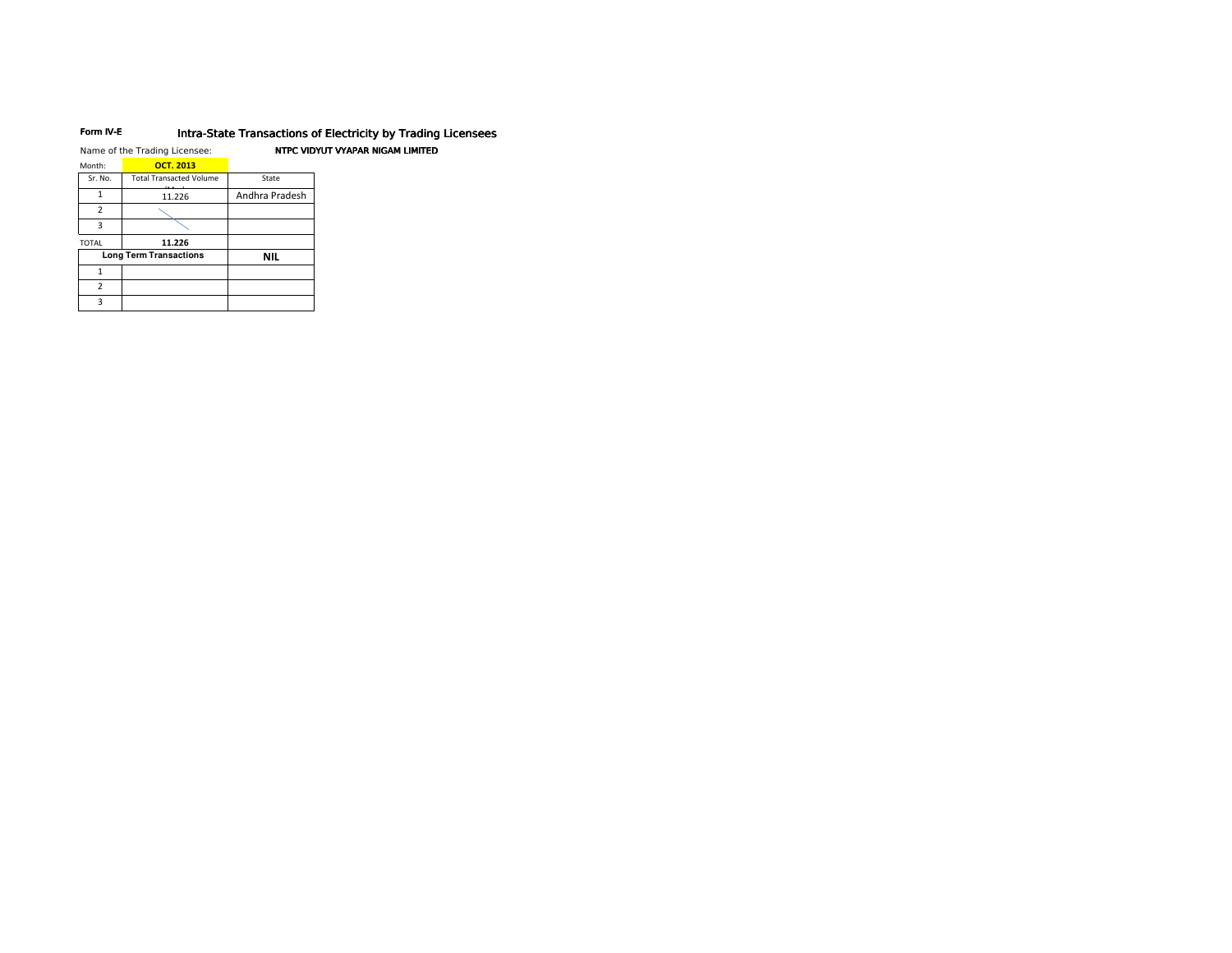#### Form IV-E Intra-State Transactions of Electricity by Trading Licensees

|                | Name of the Trading Licensee:  |                | NTPC VIDYUT VYAPAR NIGAM LIMITED |
|----------------|--------------------------------|----------------|----------------------------------|
| Month:         | <b>OCT. 2013</b>               |                |                                  |
| Sr. No.        | <b>Total Transacted Volume</b> | State          |                                  |
| 1              | 11.226                         | Andhra Pradesh |                                  |
| $\overline{2}$ |                                |                |                                  |
| 3              |                                |                |                                  |
| <b>TOTAL</b>   | 11.226                         |                |                                  |
|                | <b>Long Term Transactions</b>  | <b>NIL</b>     |                                  |
| 1              |                                |                |                                  |
| $\overline{2}$ |                                |                |                                  |
| 3              |                                |                |                                  |